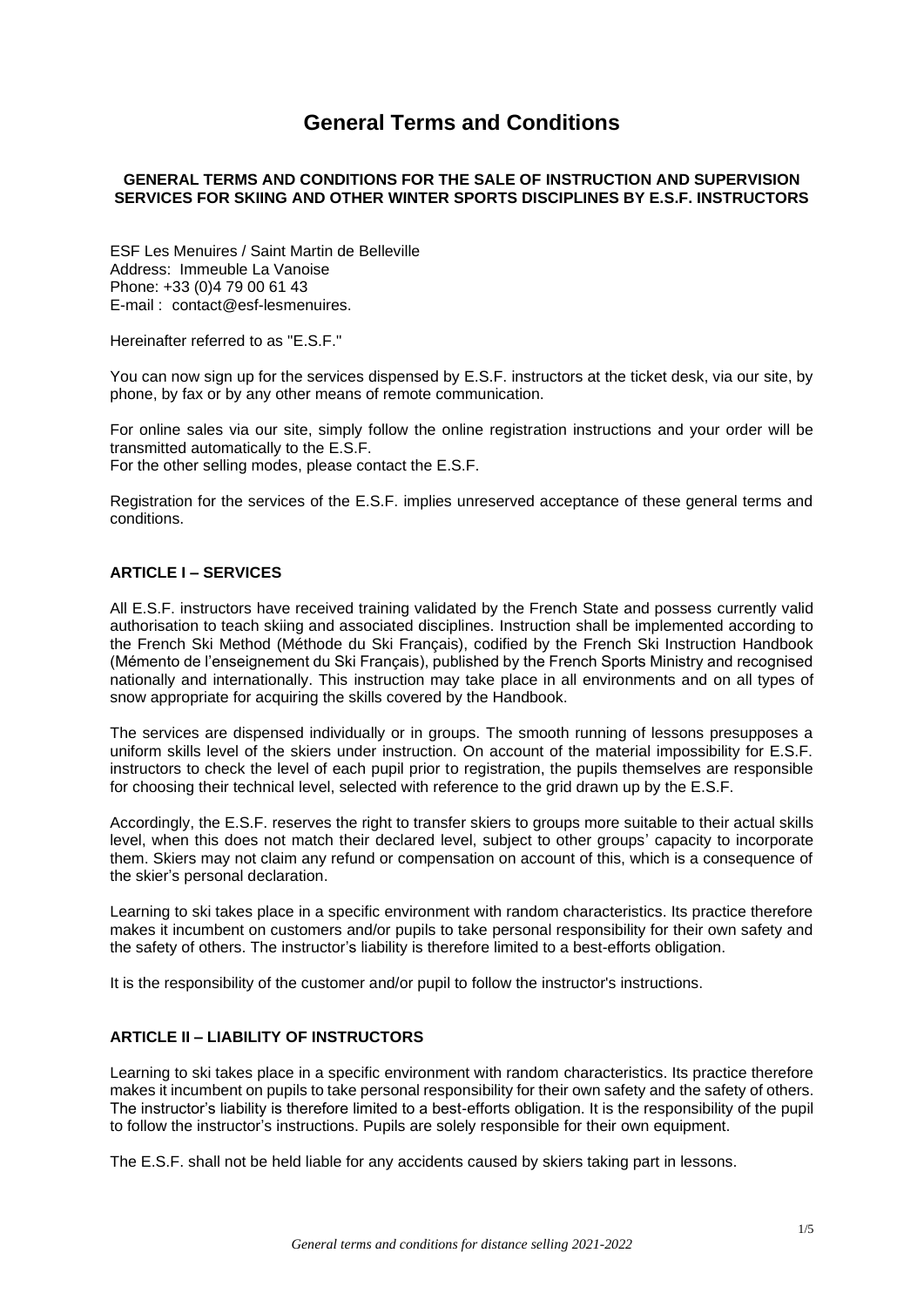# **General Terms and Conditions**

## **GENERAL TERMS AND CONDITIONS FOR THE SALE OF INSTRUCTION AND SUPERVISION SERVICES FOR SKIING AND OTHER WINTER SPORTS DISCIPLINES BY E.S.F. INSTRUCTORS**

ESF Les Menuires / Saint Martin de Belleville Address: Immeuble La Vanoise Phone: +33 (0)4 79 00 61 43 E-mail : contact@esf-lesmenuires.

Hereinafter referred to as "E.S.F."

You can now sign up for the services dispensed by E.S.F. instructors at the ticket desk, via our site, by phone, by fax or by any other means of remote communication.

For online sales via our site, simply follow the online registration instructions and your order will be transmitted automatically to the E.S.F.

For the other selling modes, please contact the E.S.F.

Registration for the services of the E.S.F. implies unreserved acceptance of these general terms and conditions.

# **ARTICLE I – SERVICES**

All E.S.F. instructors have received training validated by the French State and possess currently valid authorisation to teach skiing and associated disciplines. Instruction shall be implemented according to the French Ski Method (Méthode du Ski Français), codified by the French Ski Instruction Handbook (Mémento de l'enseignement du Ski Français), published by the French Sports Ministry and recognised nationally and internationally. This instruction may take place in all environments and on all types of snow appropriate for acquiring the skills covered by the Handbook.

The services are dispensed individually or in groups. The smooth running of lessons presupposes a uniform skills level of the skiers under instruction. On account of the material impossibility for E.S.F. instructors to check the level of each pupil prior to registration, the pupils themselves are responsible for choosing their technical level, selected with reference to the grid drawn up by the E.S.F.

Accordingly, the E.S.F. reserves the right to transfer skiers to groups more suitable to their actual skills level, when this does not match their declared level, subject to other groups' capacity to incorporate them. Skiers may not claim any refund or compensation on account of this, which is a consequence of the skier's personal declaration.

Learning to ski takes place in a specific environment with random characteristics. Its practice therefore makes it incumbent on customers and/or pupils to take personal responsibility for their own safety and the safety of others. The instructor's liability is therefore limited to a best-efforts obligation.

It is the responsibility of the customer and/or pupil to follow the instructor's instructions.

# **ARTICLE II – LIABILITY OF INSTRUCTORS**

Learning to ski takes place in a specific environment with random characteristics. Its practice therefore makes it incumbent on pupils to take personal responsibility for their own safety and the safety of others. The instructor's liability is therefore limited to a best-efforts obligation. It is the responsibility of the pupil to follow the instructor's instructions. Pupils are solely responsible for their own equipment.

The E.S.F. shall not be held liable for any accidents caused by skiers taking part in lessons.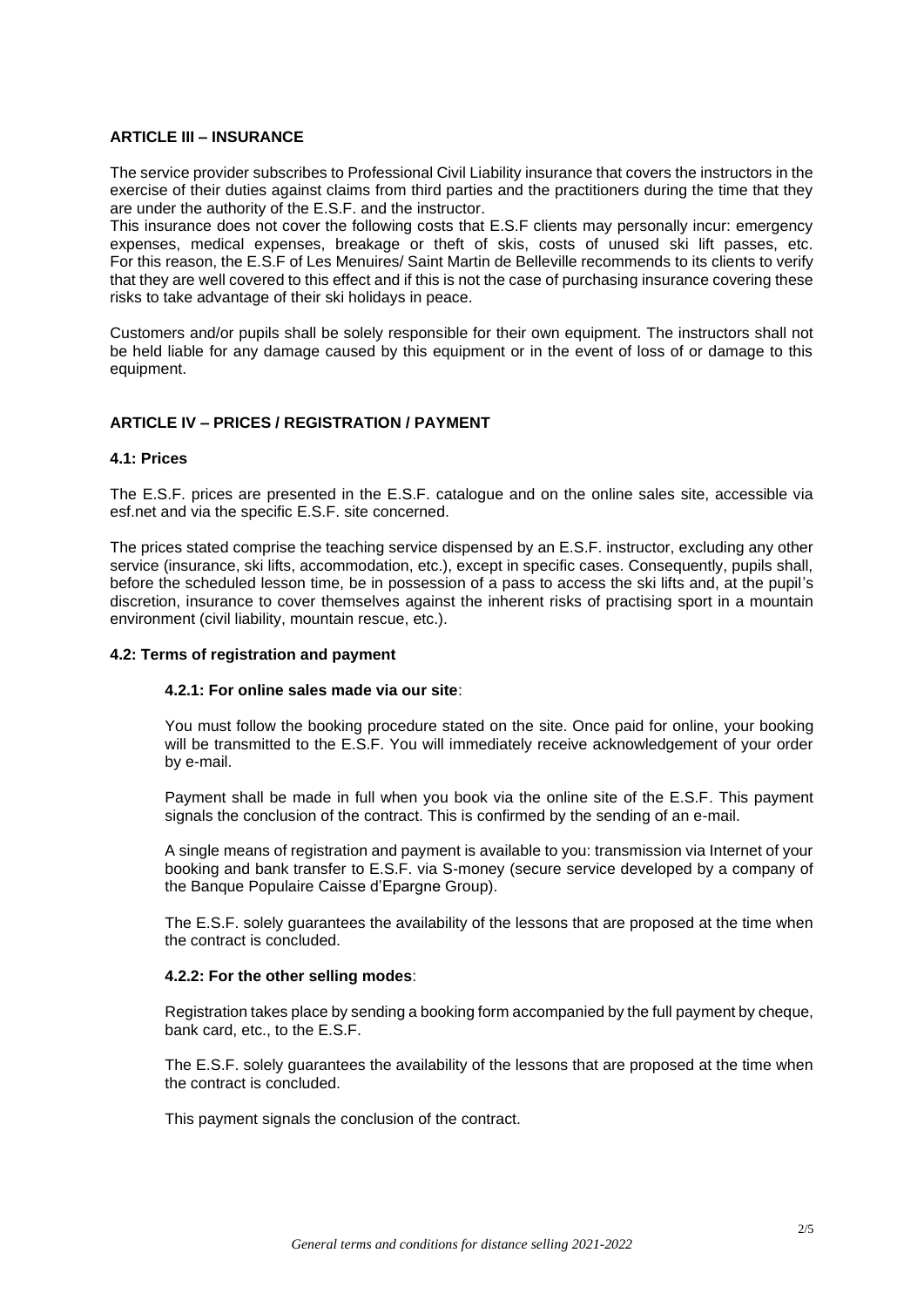## **ARTICLE III – INSURANCE**

The service provider subscribes to Professional Civil Liability insurance that covers the instructors in the exercise of their duties against claims from third parties and the practitioners during the time that they are under the authority of the E.S.F. and the instructor.

This insurance does not cover the following costs that E.S.F clients may personally incur: emergency expenses, medical expenses, breakage or theft of skis, costs of unused ski lift passes, etc. For this reason, the E.S.F of Les Menuires/ Saint Martin de Belleville recommends to its clients to verify that they are well covered to this effect and if this is not the case of purchasing insurance covering these risks to take advantage of their ski holidays in peace.

Customers and/or pupils shall be solely responsible for their own equipment. The instructors shall not be held liable for any damage caused by this equipment or in the event of loss of or damage to this equipment.

## **ARTICLE IV – PRICES / REGISTRATION / PAYMENT**

#### **4.1: Prices**

The E.S.F. prices are presented in the E.S.F. catalogue and on the online sales site, accessible via esf.net and via the specific E.S.F. site concerned.

The prices stated comprise the teaching service dispensed by an E.S.F. instructor, excluding any other service (insurance, ski lifts, accommodation, etc.), except in specific cases. Consequently, pupils shall, before the scheduled lesson time, be in possession of a pass to access the ski lifts and, at the pupil's discretion, insurance to cover themselves against the inherent risks of practising sport in a mountain environment (civil liability, mountain rescue, etc.).

# **4.2: Terms of registration and payment**

#### **4.2.1: For online sales made via our site**:

You must follow the booking procedure stated on the site. Once paid for online, your booking will be transmitted to the E.S.F. You will immediately receive acknowledgement of your order by e-mail.

Payment shall be made in full when you book via the online site of the E.S.F. This payment signals the conclusion of the contract. This is confirmed by the sending of an e-mail.

A single means of registration and payment is available to you: transmission via Internet of your booking and bank transfer to E.S.F. via S-money (secure service developed by a company of the Banque Populaire Caisse d'Epargne Group).

The E.S.F. solely guarantees the availability of the lessons that are proposed at the time when the contract is concluded.

#### **4.2.2: For the other selling modes**:

Registration takes place by sending a booking form accompanied by the full payment by cheque, bank card, etc., to the E.S.F.

The E.S.F. solely guarantees the availability of the lessons that are proposed at the time when the contract is concluded.

This payment signals the conclusion of the contract.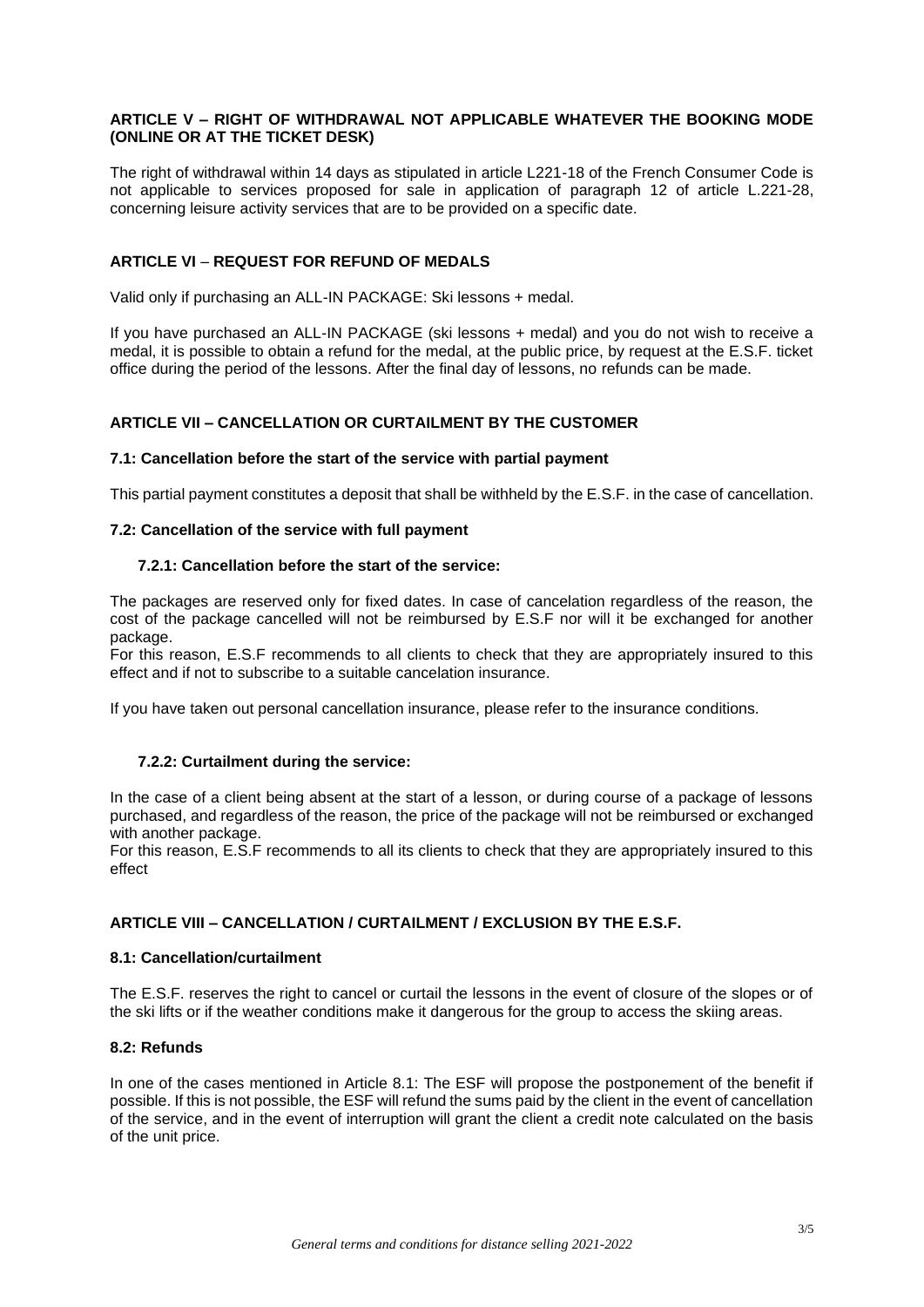## **ARTICLE V – RIGHT OF WITHDRAWAL NOT APPLICABLE WHATEVER THE BOOKING MODE (ONLINE OR AT THE TICKET DESK)**

The right of withdrawal within 14 days as stipulated in article L221-18 of the French Consumer Code is not applicable to services proposed for sale in application of paragraph 12 of article L.221-28, concerning leisure activity services that are to be provided on a specific date.

# **ARTICLE VI** – **REQUEST FOR REFUND OF MEDALS**

Valid only if purchasing an ALL-IN PACKAGE: Ski lessons + medal.

If you have purchased an ALL-IN PACKAGE (ski lessons + medal) and you do not wish to receive a medal, it is possible to obtain a refund for the medal, at the public price, by request at the E.S.F. ticket office during the period of the lessons. After the final day of lessons, no refunds can be made.

## **ARTICLE VII – CANCELLATION OR CURTAILMENT BY THE CUSTOMER**

#### **7.1: Cancellation before the start of the service with partial payment**

This partial payment constitutes a deposit that shall be withheld by the E.S.F. in the case of cancellation.

#### **7.2: Cancellation of the service with full payment**

#### **7.2.1: Cancellation before the start of the service:**

The packages are reserved only for fixed dates. In case of cancelation regardless of the reason, the cost of the package cancelled will not be reimbursed by E.S.F nor will it be exchanged for another package.

For this reason, E.S.F recommends to all clients to check that they are appropriately insured to this effect and if not to subscribe to a suitable cancelation insurance.

If you have taken out personal cancellation insurance, please refer to the insurance conditions.

#### **7.2.2: Curtailment during the service:**

In the case of a client being absent at the start of a lesson, or during course of a package of lessons purchased, and regardless of the reason, the price of the package will not be reimbursed or exchanged with another package.

For this reason, E.S.F recommends to all its clients to check that they are appropriately insured to this effect

## **ARTICLE VIII – CANCELLATION / CURTAILMENT / EXCLUSION BY THE E.S.F.**

#### **8.1: Cancellation/curtailment**

The E.S.F. reserves the right to cancel or curtail the lessons in the event of closure of the slopes or of the ski lifts or if the weather conditions make it dangerous for the group to access the skiing areas.

# **8.2: Refunds**

In one of the cases mentioned in Article 8.1: The ESF will propose the postponement of the benefit if possible. If this is not possible, the ESF will refund the sums paid by the client in the event of cancellation of the service, and in the event of interruption will grant the client a credit note calculated on the basis of the unit price.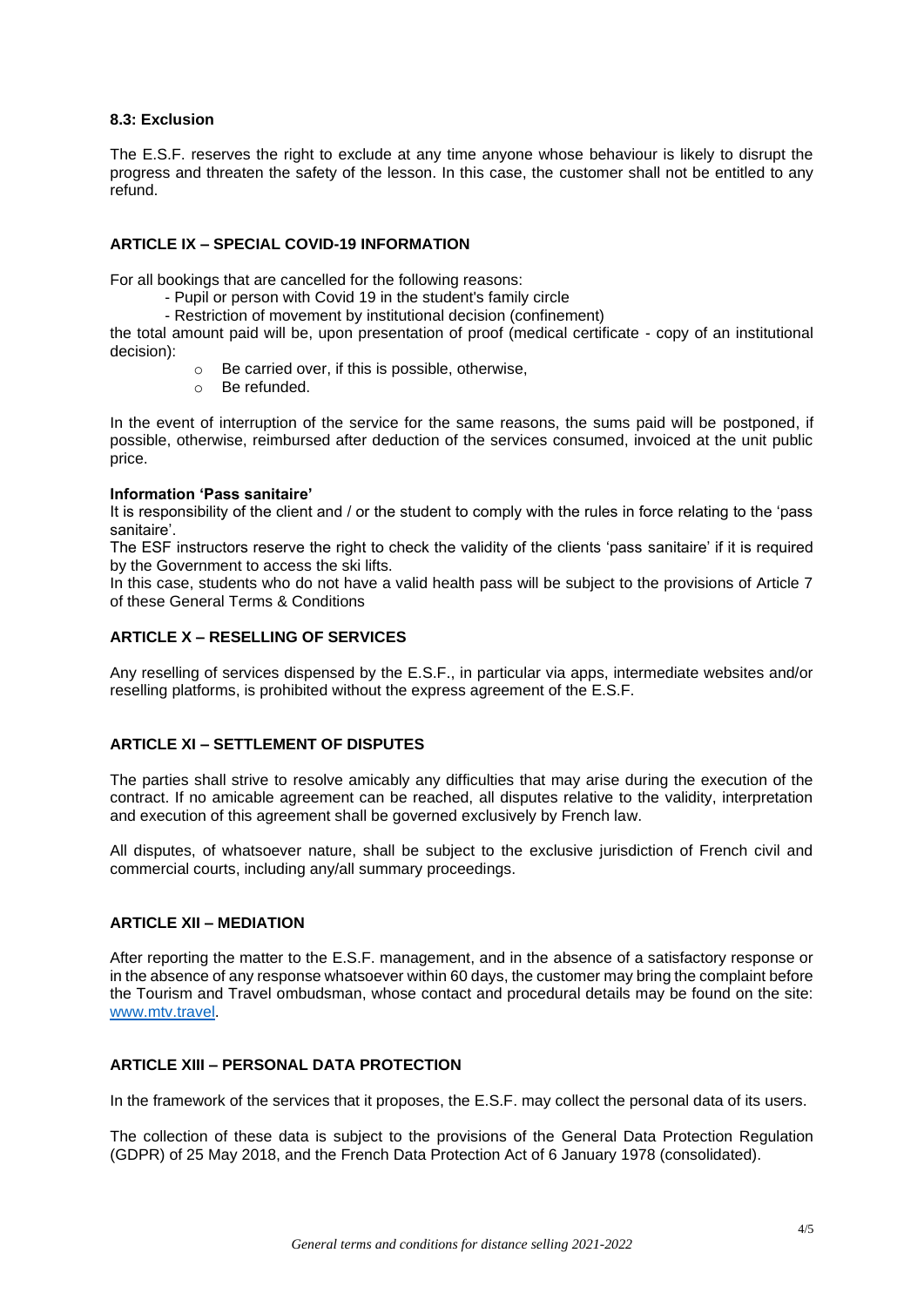# **8.3: Exclusion**

The E.S.F. reserves the right to exclude at any time anyone whose behaviour is likely to disrupt the progress and threaten the safety of the lesson. In this case, the customer shall not be entitled to any refund.

# **ARTICLE IX – SPECIAL COVID-19 INFORMATION**

For all bookings that are cancelled for the following reasons:

- Pupil or person with Covid 19 in the student's family circle
- Restriction of movement by institutional decision (confinement)

the total amount paid will be, upon presentation of proof (medical certificate - copy of an institutional decision):

- o Be carried over, if this is possible, otherwise,
- o Be refunded.

In the event of interruption of the service for the same reasons, the sums paid will be postponed, if possible, otherwise, reimbursed after deduction of the services consumed, invoiced at the unit public price.

#### **Information 'Pass sanitaire'**

It is responsibility of the client and / or the student to comply with the rules in force relating to the 'pass sanitaire'.

The ESF instructors reserve the right to check the validity of the clients 'pass sanitaire' if it is required by the Government to access the ski lifts.

In this case, students who do not have a valid health pass will be subject to the provisions of Article 7 of these General Terms & Conditions

# **ARTICLE X – RESELLING OF SERVICES**

Any reselling of services dispensed by the E.S.F., in particular via apps, intermediate websites and/or reselling platforms, is prohibited without the express agreement of the E.S.F.

# **ARTICLE XI – SETTLEMENT OF DISPUTES**

The parties shall strive to resolve amicably any difficulties that may arise during the execution of the contract. If no amicable agreement can be reached, all disputes relative to the validity, interpretation and execution of this agreement shall be governed exclusively by French law.

All disputes, of whatsoever nature, shall be subject to the exclusive jurisdiction of French civil and commercial courts, including any/all summary proceedings.

#### **ARTICLE XII – MEDIATION**

After reporting the matter to the E.S.F. management, and in the absence of a satisfactory response or in the absence of any response whatsoever within 60 days, the customer may bring the complaint before the Tourism and Travel ombudsman, whose contact and procedural details may be found on the site: [www.mtv.travel.](http://www.mtv.travel/)

## **ARTICLE XIII – PERSONAL DATA PROTECTION**

In the framework of the services that it proposes, the E.S.F. may collect the personal data of its users.

The collection of these data is subject to the provisions of the General Data Protection Regulation (GDPR) of 25 May 2018, and the French Data Protection Act of 6 January 1978 (consolidated).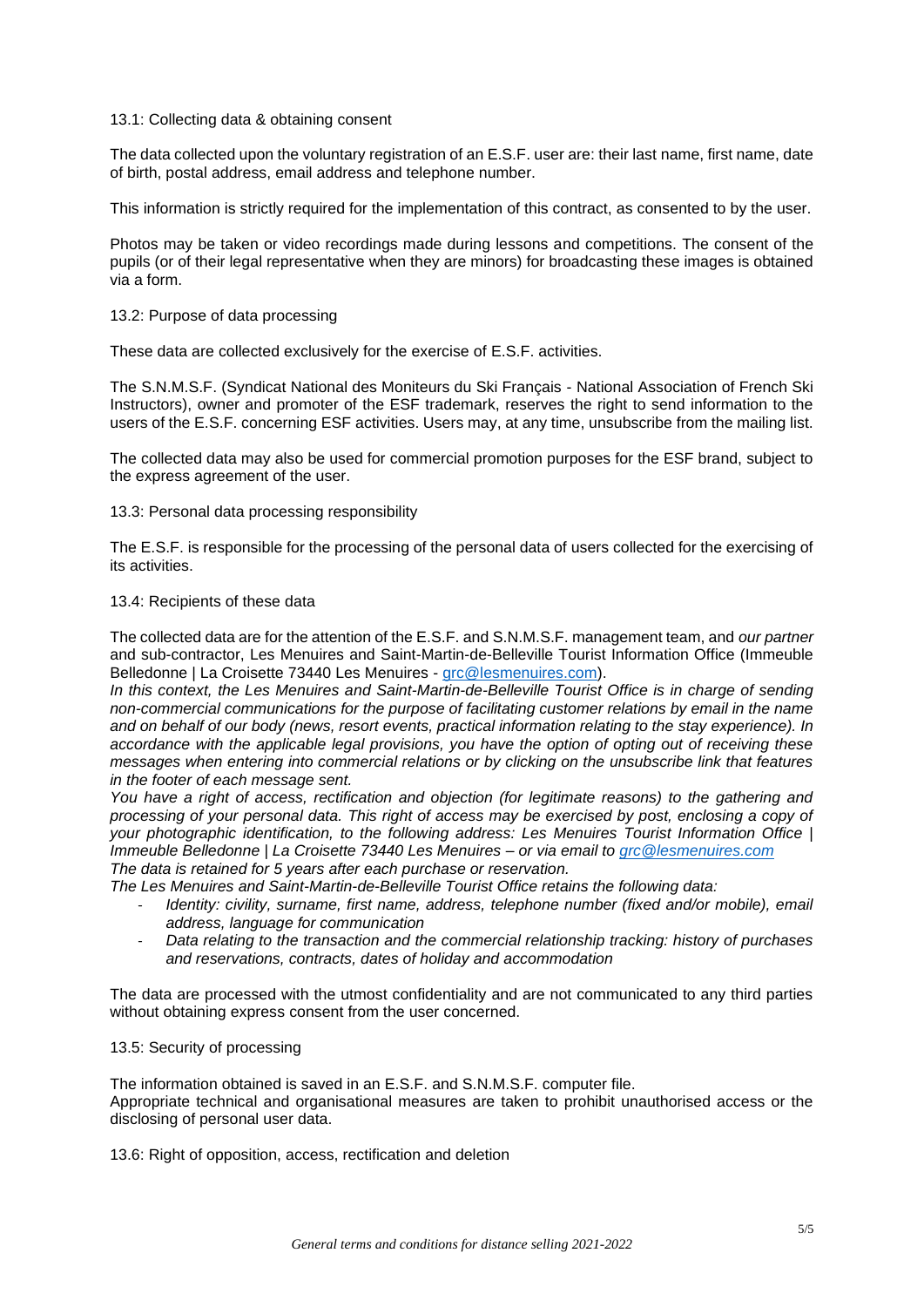#### 13.1: Collecting data & obtaining consent

The data collected upon the voluntary registration of an E.S.F. user are: their last name, first name, date of birth, postal address, email address and telephone number.

This information is strictly required for the implementation of this contract, as consented to by the user.

Photos may be taken or video recordings made during lessons and competitions. The consent of the pupils (or of their legal representative when they are minors) for broadcasting these images is obtained via a form.

#### 13.2: Purpose of data processing

These data are collected exclusively for the exercise of E.S.F. activities.

The S.N.M.S.F. (Syndicat National des Moniteurs du Ski Français - National Association of French Ski Instructors), owner and promoter of the ESF trademark, reserves the right to send information to the users of the E.S.F. concerning ESF activities. Users may, at any time, unsubscribe from the mailing list.

The collected data may also be used for commercial promotion purposes for the ESF brand, subject to the express agreement of the user.

#### 13.3: Personal data processing responsibility

The E.S.F. is responsible for the processing of the personal data of users collected for the exercising of its activities.

#### 13.4: Recipients of these data

The collected data are for the attention of the E.S.F. and S.N.M.S.F. management team, and *our partner*  and sub-contractor, Les Menuires and Saint-Martin-de-Belleville Tourist Information Office (Immeuble Belledonne | La Croisette 73440 Les Menuires - [grc@lesmenuires.com\)](mailto:grc@lesmenuires.com).

*In this context, the Les Menuires and Saint-Martin-de-Belleville Tourist Office is in charge of sending non-commercial communications for the purpose of facilitating customer relations by email in the name and on behalf of our body (news, resort events, practical information relating to the stay experience). In accordance with the applicable legal provisions, you have the option of opting out of receiving these messages when entering into commercial relations or by clicking on the unsubscribe link that features in the footer of each message sent.*

*You have a right of access, rectification and objection (for legitimate reasons) to the gathering and processing of your personal data. This right of access may be exercised by post, enclosing a copy of your photographic identification, to the following address: Les Menuires Tourist Information Office | Immeuble Belledonne | La Croisette 73440 Les Menuires – or via email to [grc@lesmenuires.com](mailto:grc@lesmenuires.com) The data is retained for 5 years after each purchase or reservation.*

*The Les Menuires and Saint-Martin-de-Belleville Tourist Office retains the following data:*

- Identity: civility, surname, first name, address, telephone number (fixed and/or mobile), email *address, language for communication*
- *Data relating to the transaction and the commercial relationship tracking: history of purchases and reservations, contracts, dates of holiday and accommodation*

The data are processed with the utmost confidentiality and are not communicated to any third parties without obtaining express consent from the user concerned.

#### 13.5: Security of processing

The information obtained is saved in an E.S.F. and S.N.M.S.F. computer file. Appropriate technical and organisational measures are taken to prohibit unauthorised access or the disclosing of personal user data.

13.6: Right of opposition, access, rectification and deletion